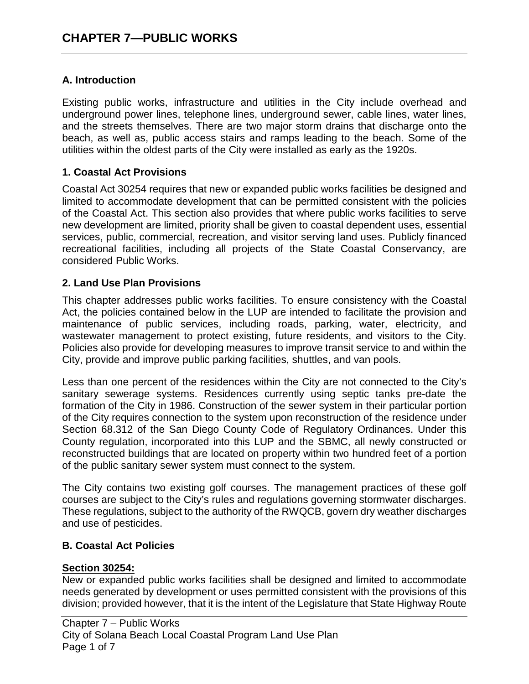### **A. Introduction**

Existing public works, infrastructure and utilities in the City include overhead and underground power lines, telephone lines, underground sewer, cable lines, water lines, and the streets themselves. There are two major storm drains that discharge onto the beach, as well as, public access stairs and ramps leading to the beach. Some of the utilities within the oldest parts of the City were installed as early as the 1920s.

### **1. Coastal Act Provisions**

Coastal Act 30254 requires that new or expanded public works facilities be designed and limited to accommodate development that can be permitted consistent with the policies of the Coastal Act. This section also provides that where public works facilities to serve new development are limited, priority shall be given to coastal dependent uses, essential services, public, commercial, recreation, and visitor serving land uses. Publicly financed recreational facilities, including all projects of the State Coastal Conservancy, are considered Public Works.

### **2. Land Use Plan Provisions**

This chapter addresses public works facilities. To ensure consistency with the Coastal Act, the policies contained below in the LUP are intended to facilitate the provision and maintenance of public services, including roads, parking, water, electricity, and wastewater management to protect existing, future residents, and visitors to the City. Policies also provide for developing measures to improve transit service to and within the City, provide and improve public parking facilities, shuttles, and van pools.

Less than one percent of the residences within the City are not connected to the City's sanitary sewerage systems. Residences currently using septic tanks pre-date the formation of the City in 1986. Construction of the sewer system in their particular portion of the City requires connection to the system upon reconstruction of the residence under Section 68.312 of the San Diego County Code of Regulatory Ordinances. Under this County regulation, incorporated into this LUP and the SBMC, all newly constructed or reconstructed buildings that are located on property within two hundred feet of a portion of the public sanitary sewer system must connect to the system.

The City contains two existing golf courses. The management practices of these golf courses are subject to the City's rules and regulations governing stormwater discharges. These regulations, subject to the authority of the RWQCB, govern dry weather discharges and use of pesticides.

#### **B. Coastal Act Policies**

#### **Section 30254:**

New or expanded public works facilities shall be designed and limited to accommodate needs generated by development or uses permitted consistent with the provisions of this division; provided however, that it is the intent of the Legislature that State Highway Route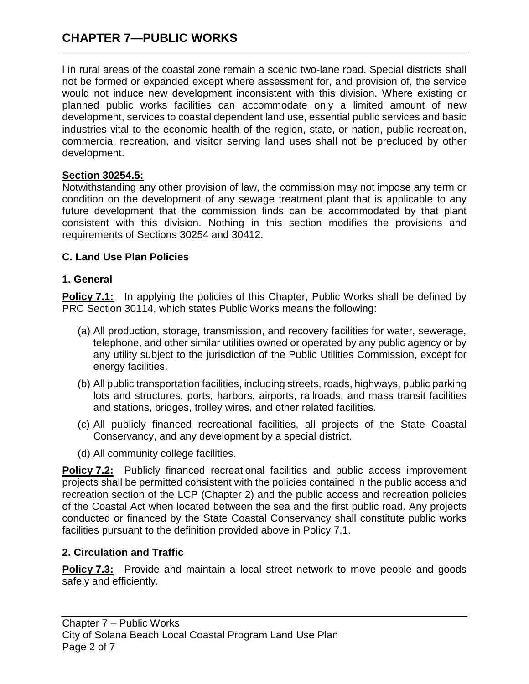l in rural areas of the coastal zone remain a scenic two-lane road. Special districts shall not be formed or expanded except where assessment for, and provision of, the service would not induce new development inconsistent with this division. Where existing or planned public works facilities can accommodate only a limited amount of new development, services to coastal dependent land use, essential public services and basic industries vital to the economic health of the region, state, or nation, public recreation, commercial recreation, and visitor serving land uses shall not be precluded by other development.

### **Section 30254.5:**

Notwithstanding any other provision of law, the commission may not impose any term or condition on the development of any sewage treatment plant that is applicable to any future development that the commission finds can be accommodated by that plant consistent with this division. Nothing in this section modifies the provisions and requirements of Sections 30254 and 30412.

### **C. Land Use Plan Policies**

### **1. General**

**Policy 7.1:** In applying the policies of this Chapter, Public Works shall be defined by PRC Section 30114, which states Public Works means the following:

- (a) All production, storage, transmission, and recovery facilities for water, sewerage, telephone, and other similar utilities owned or operated by any public agency or by any utility subject to the jurisdiction of the Public Utilities Commission, except for energy facilities.
- (b) All public transportation facilities, including streets, roads, highways, public parking lots and structures, ports, harbors, airports, railroads, and mass transit facilities and stations, bridges, trolley wires, and other related facilities.
- (c) All publicly financed recreational facilities, all projects of the State Coastal Conservancy, and any development by a special district.
- (d) All community college facilities.

**Policy 7.2:** Publicly financed recreational facilities and public access improvement projects shall be permitted consistent with the policies contained in the public access and recreation section of the LCP (Chapter 2) and the public access and recreation policies of the Coastal Act when located between the sea and the first public road. Any projects conducted or financed by the State Coastal Conservancy shall constitute public works facilities pursuant to the definition provided above in Policy 7.1.

#### **2. Circulation and Traffic**

**Policy 7.3:** Provide and maintain a local street network to move people and goods safely and efficiently.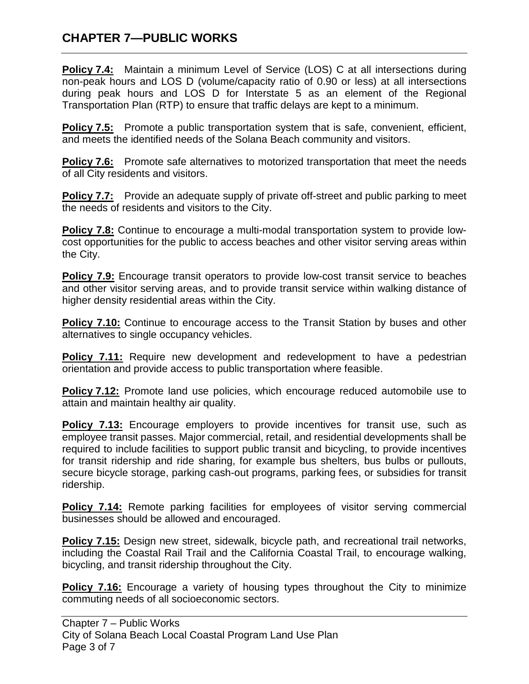# **CHAPTER 7—PUBLIC WORKS**

**Policy 7.4:** Maintain a minimum Level of Service (LOS) C at all intersections during non-peak hours and LOS D (volume/capacity ratio of 0.90 or less) at all intersections during peak hours and LOS D for Interstate 5 as an element of the Regional Transportation Plan (RTP) to ensure that traffic delays are kept to a minimum.

**Policy 7.5:** Promote a public transportation system that is safe, convenient, efficient, and meets the identified needs of the Solana Beach community and visitors.

**Policy 7.6:** Promote safe alternatives to motorized transportation that meet the needs of all City residents and visitors.

**Policy 7.7:** Provide an adequate supply of private off-street and public parking to meet the needs of residents and visitors to the City.

**Policy 7.8:** Continue to encourage a multi-modal transportation system to provide lowcost opportunities for the public to access beaches and other visitor serving areas within the City.

**Policy 7.9:** Encourage transit operators to provide low-cost transit service to beaches and other visitor serving areas, and to provide transit service within walking distance of higher density residential areas within the City.

**Policy 7.10:** Continue to encourage access to the Transit Station by buses and other alternatives to single occupancy vehicles.

**Policy 7.11:** Require new development and redevelopment to have a pedestrian orientation and provide access to public transportation where feasible.

**Policy 7.12:** Promote land use policies, which encourage reduced automobile use to attain and maintain healthy air quality.

**Policy 7.13:** Encourage employers to provide incentives for transit use, such as employee transit passes. Major commercial, retail, and residential developments shall be required to include facilities to support public transit and bicycling, to provide incentives for transit ridership and ride sharing, for example bus shelters, bus bulbs or pullouts, secure bicycle storage, parking cash-out programs, parking fees, or subsidies for transit ridership.

**Policy 7.14:** Remote parking facilities for employees of visitor serving commercial businesses should be allowed and encouraged.

**Policy 7.15:** Design new street, sidewalk, bicycle path, and recreational trail networks, including the Coastal Rail Trail and the California Coastal Trail, to encourage walking, bicycling, and transit ridership throughout the City.

**Policy 7.16:** Encourage a variety of housing types throughout the City to minimize commuting needs of all socioeconomic sectors.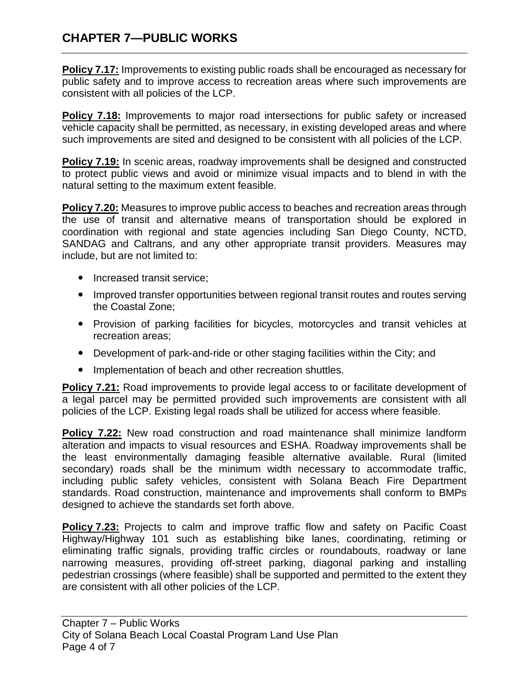# **CHAPTER 7—PUBLIC WORKS**

**Policy 7.17:** Improvements to existing public roads shall be encouraged as necessary for public safety and to improve access to recreation areas where such improvements are consistent with all policies of the LCP.

**Policy 7.18:** Improvements to major road intersections for public safety or increased vehicle capacity shall be permitted, as necessary, in existing developed areas and where such improvements are sited and designed to be consistent with all policies of the LCP.

**Policy 7.19:** In scenic areas, roadway improvements shall be designed and constructed to protect public views and avoid or minimize visual impacts and to blend in with the natural setting to the maximum extent feasible.

**Policy 7.20:** Measures to improve public access to beaches and recreation areas through the use of transit and alternative means of transportation should be explored in coordination with regional and state agencies including San Diego County, NCTD, SANDAG and Caltrans, and any other appropriate transit providers. Measures may include, but are not limited to:

- Increased transit service;
- Improved transfer opportunities between regional transit routes and routes serving the Coastal Zone;
- Provision of parking facilities for bicycles, motorcycles and transit vehicles at recreation areas;
- Development of park-and-ride or other staging facilities within the City; and
- Implementation of beach and other recreation shuttles.

**Policy 7.21:** Road improvements to provide legal access to or facilitate development of a legal parcel may be permitted provided such improvements are consistent with all policies of the LCP. Existing legal roads shall be utilized for access where feasible.

**Policy 7.22:** New road construction and road maintenance shall minimize landform alteration and impacts to visual resources and ESHA. Roadway improvements shall be the least environmentally damaging feasible alternative available. Rural (limited secondary) roads shall be the minimum width necessary to accommodate traffic, including public safety vehicles, consistent with Solana Beach Fire Department standards. Road construction, maintenance and improvements shall conform to BMPs designed to achieve the standards set forth above.

**Policy 7.23:** Projects to calm and improve traffic flow and safety on Pacific Coast Highway/Highway 101 such as establishing bike lanes, coordinating, retiming or eliminating traffic signals, providing traffic circles or roundabouts, roadway or lane narrowing measures, providing off-street parking, diagonal parking and installing pedestrian crossings (where feasible) shall be supported and permitted to the extent they are consistent with all other policies of the LCP.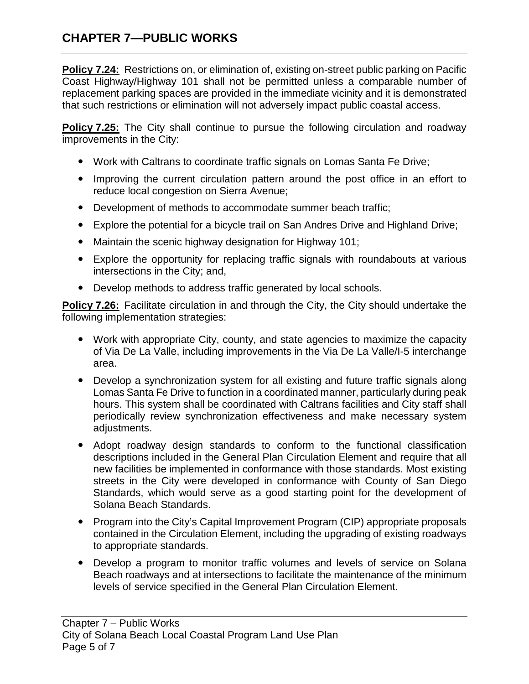# **CHAPTER 7—PUBLIC WORKS**

**Policy 7.24:** Restrictions on, or elimination of, existing on-street public parking on Pacific Coast Highway/Highway 101 shall not be permitted unless a comparable number of replacement parking spaces are provided in the immediate vicinity and it is demonstrated that such restrictions or elimination will not adversely impact public coastal access.

**Policy 7.25:** The City shall continue to pursue the following circulation and roadway improvements in the City:

- Work with Caltrans to coordinate traffic signals on Lomas Santa Fe Drive;
- Improving the current circulation pattern around the post office in an effort to reduce local congestion on Sierra Avenue;
- Development of methods to accommodate summer beach traffic;
- Explore the potential for a bicycle trail on San Andres Drive and Highland Drive;
- Maintain the scenic highway designation for Highway 101;
- Explore the opportunity for replacing traffic signals with roundabouts at various intersections in the City; and,
- Develop methods to address traffic generated by local schools.

**Policy 7.26:** Facilitate circulation in and through the City, the City should undertake the following implementation strategies:

- Work with appropriate City, county, and state agencies to maximize the capacity of Via De La Valle, including improvements in the Via De La Valle/I-5 interchange area.
- Develop a synchronization system for all existing and future traffic signals along Lomas Santa Fe Drive to function in a coordinated manner, particularly during peak hours. This system shall be coordinated with Caltrans facilities and City staff shall periodically review synchronization effectiveness and make necessary system adjustments.
- Adopt roadway design standards to conform to the functional classification descriptions included in the General Plan Circulation Element and require that all new facilities be implemented in conformance with those standards. Most existing streets in the City were developed in conformance with County of San Diego Standards, which would serve as a good starting point for the development of Solana Beach Standards.
- Program into the City's Capital Improvement Program (CIP) appropriate proposals contained in the Circulation Element, including the upgrading of existing roadways to appropriate standards.
- Develop a program to monitor traffic volumes and levels of service on Solana Beach roadways and at intersections to facilitate the maintenance of the minimum levels of service specified in the General Plan Circulation Element.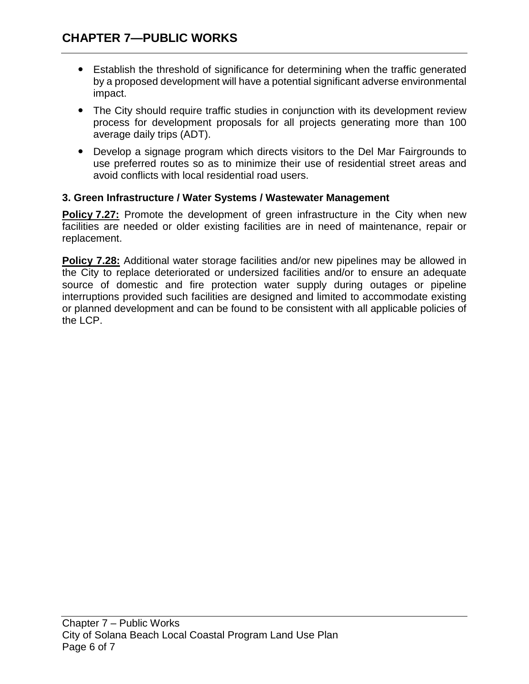- Establish the threshold of significance for determining when the traffic generated by a proposed development will have a potential significant adverse environmental impact.
- The City should require traffic studies in conjunction with its development review process for development proposals for all projects generating more than 100 average daily trips (ADT).
- Develop a signage program which directs visitors to the Del Mar Fairgrounds to use preferred routes so as to minimize their use of residential street areas and avoid conflicts with local residential road users.

## **3. Green Infrastructure / Water Systems / Wastewater Management**

**Policy 7.27:** Promote the development of green infrastructure in the City when new facilities are needed or older existing facilities are in need of maintenance, repair or replacement.

**Policy 7.28:** Additional water storage facilities and/or new pipelines may be allowed in the City to replace deteriorated or undersized facilities and/or to ensure an adequate source of domestic and fire protection water supply during outages or pipeline interruptions provided such facilities are designed and limited to accommodate existing or planned development and can be found to be consistent with all applicable policies of the LCP.